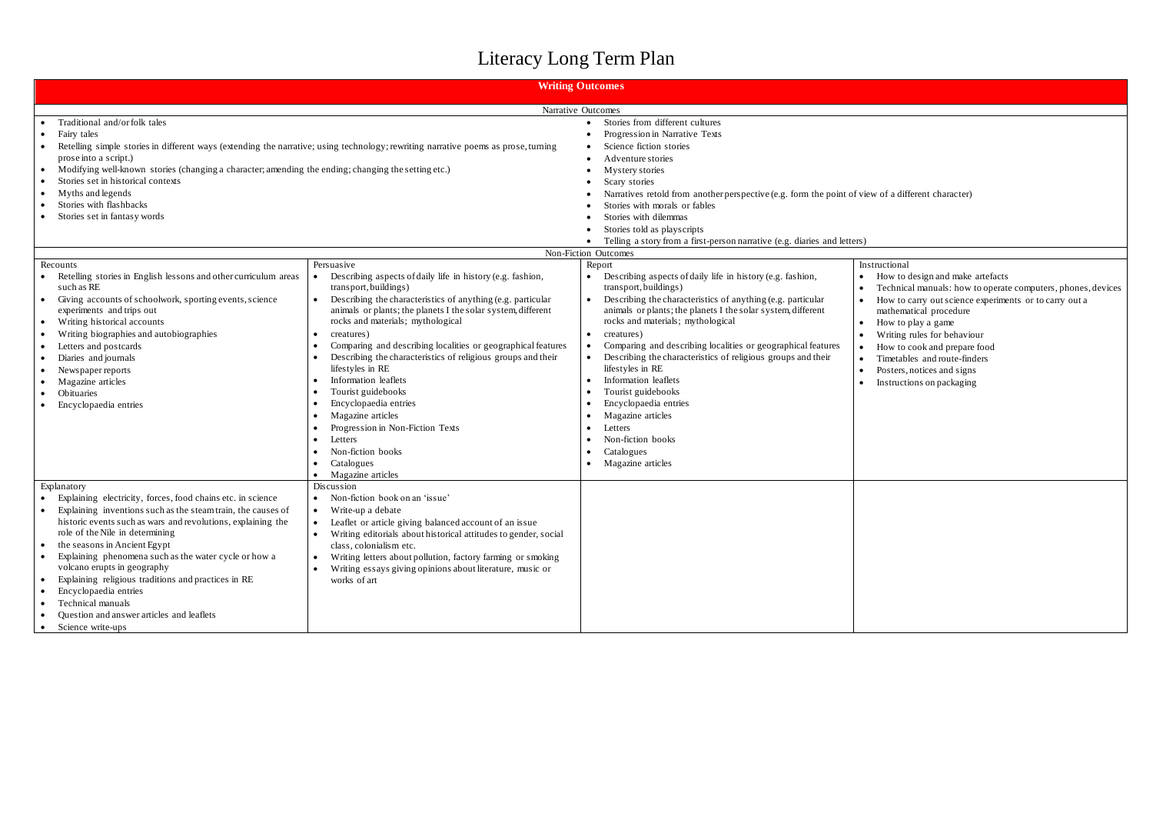## Literacy Long Term Plan

|                                                                                                                                                                                                                                                                                                                                                                                                                                                                                                                                                   | <b>Writing Outcomes</b>                                                                                                                                                                                                                                                                                                                                                                                                                                                                                                                                                                                                                                                                        |                                                                                                                                                                                                                                                                                                                                                                                                                                                                                                                                                                                                                                                        |                                                                      |  |  |  |
|---------------------------------------------------------------------------------------------------------------------------------------------------------------------------------------------------------------------------------------------------------------------------------------------------------------------------------------------------------------------------------------------------------------------------------------------------------------------------------------------------------------------------------------------------|------------------------------------------------------------------------------------------------------------------------------------------------------------------------------------------------------------------------------------------------------------------------------------------------------------------------------------------------------------------------------------------------------------------------------------------------------------------------------------------------------------------------------------------------------------------------------------------------------------------------------------------------------------------------------------------------|--------------------------------------------------------------------------------------------------------------------------------------------------------------------------------------------------------------------------------------------------------------------------------------------------------------------------------------------------------------------------------------------------------------------------------------------------------------------------------------------------------------------------------------------------------------------------------------------------------------------------------------------------------|----------------------------------------------------------------------|--|--|--|
|                                                                                                                                                                                                                                                                                                                                                                                                                                                                                                                                                   | Narrative Outcomes                                                                                                                                                                                                                                                                                                                                                                                                                                                                                                                                                                                                                                                                             |                                                                                                                                                                                                                                                                                                                                                                                                                                                                                                                                                                                                                                                        |                                                                      |  |  |  |
| Traditional and/or folk tales<br>Fairy tales<br>Retelling simple stories in different ways (extending the narrative; using technology; rewriting narrative poems as prose, turning<br>prose into a script.)<br>Modifying well-known stories (changing a character; amending the ending; changing the setting etc.)<br>$\bullet$<br>Stories set in historical contexts<br>Myths and legends<br>٠<br>Stories with flashbacks<br>Stories set in fantasy words                                                                                        | Stories from different cultures<br>Progression in Narrative Texts<br>Science fiction stories<br>Adventure stories<br>Mystery stories<br>Scary stories<br>Narratives retold from another perspective (e.g. form the point of view<br>Stories with morals or fables<br>Stories with dilemmas<br>Stories told as playscripts<br>Telling a story from a first-person narrative (e.g. diaries and letters)                                                                                                                                                                                                                                                                                          |                                                                                                                                                                                                                                                                                                                                                                                                                                                                                                                                                                                                                                                        |                                                                      |  |  |  |
|                                                                                                                                                                                                                                                                                                                                                                                                                                                                                                                                                   |                                                                                                                                                                                                                                                                                                                                                                                                                                                                                                                                                                                                                                                                                                | Non-Fiction Outcomes                                                                                                                                                                                                                                                                                                                                                                                                                                                                                                                                                                                                                                   |                                                                      |  |  |  |
| Recounts<br>Retelling stories in English lessons and other curriculum areas<br>such as RE<br>Giving accounts of schoolwork, sporting events, science<br>$\bullet$<br>experiments and trips out<br>Writing historical accounts<br>$\bullet$<br>Writing biographies and autobiographies<br>$\bullet$<br>Letters and postcards<br>$\bullet$<br>Diaries and journals<br>$\bullet$<br>Newspaper reports<br>$\bullet$<br>Magazine articles<br>$\bullet$<br>Obituaries<br>Encyclopaedia entries                                                          | Persuasive<br>Describing aspects of daily life in history (e.g. fashion,<br>$\bullet$<br>transport, buildings)<br>Describing the characteristics of anything (e.g. particular<br>$\bullet$<br>animals or plants; the planets I the solar system, different<br>rocks and materials; mythological<br>creatures)<br>$\bullet$<br>Comparing and describing localities or geographical features<br>Describing the characteristics of religious groups and their<br>lifestyles in RE<br>Information leaflets<br>Tourist guidebooks<br>Encyclopaedia entries<br>Magazine articles<br>Progression in Non-Fiction Texts<br>Letters<br>Non-fiction books<br>Catalogues<br>Magazine articles<br>$\bullet$ | Report<br>Describing aspects of daily life in history (e.g. fashion,<br>transport, buildings)<br>Describing the characteristics of anything (e.g. particular<br>$\bullet$<br>animals or plants; the planets I the solar system, different<br>rocks and materials; mythological<br>creatures)<br>$\bullet$<br>Comparing and describing localities or geographical features<br>Describing the characteristics of religious groups and their<br>lifestyles in RE<br>Information leaflets<br>$\bullet$<br>Tourist guidebooks<br>Encyclopaedia entries<br>Magazine articles<br>Letters<br>Non-fiction books<br>Catalogues<br>Magazine articles<br>$\bullet$ | In:<br>$\bullet$<br>$\bullet$<br>$\bullet$<br>$\bullet$<br>$\bullet$ |  |  |  |
| Explanatory<br>Explaining electricity, forces, food chains etc. in science<br>Explaining inventions such as the steam train, the causes of<br>historic events such as wars and revolutions, explaining the<br>role of the Nile in determining<br>the seasons in Ancient Egypt<br>Explaining phenomena such as the water cycle or how a<br>volcano erupts in geography<br>Explaining religious traditions and practices in RE<br>٠<br>Encyclopaedia entries<br>Technical manuals<br>Question and answer articles and leaflets<br>Science write-ups | Discussion<br>Non-fiction book on an 'issue'<br>$\bullet$<br>Write-up a debate<br>$\bullet$<br>Leaflet or article giving balanced account of an issue<br>$\bullet$<br>Writing editorials about historical attitudes to gender, social<br>$\bullet$<br>class, colonialism etc.<br>Writing letters about pollution, factory farming or smoking<br>Writing essays giving opinions about literature, music or<br>works of art                                                                                                                                                                                                                                                                      |                                                                                                                                                                                                                                                                                                                                                                                                                                                                                                                                                                                                                                                        |                                                                      |  |  |  |

ew of a different character)

## structional

- How to design and make artefacts
- Technical manuals: how to operate computers, phones, devices
- How to carry out science experiments or to carry out a
- mathematical procedure
- How to play a game
- Writing rules for behaviour
- How to cook and prepare food Timetables and route-finders
- Posters, notices and signs
- Instructions on packaging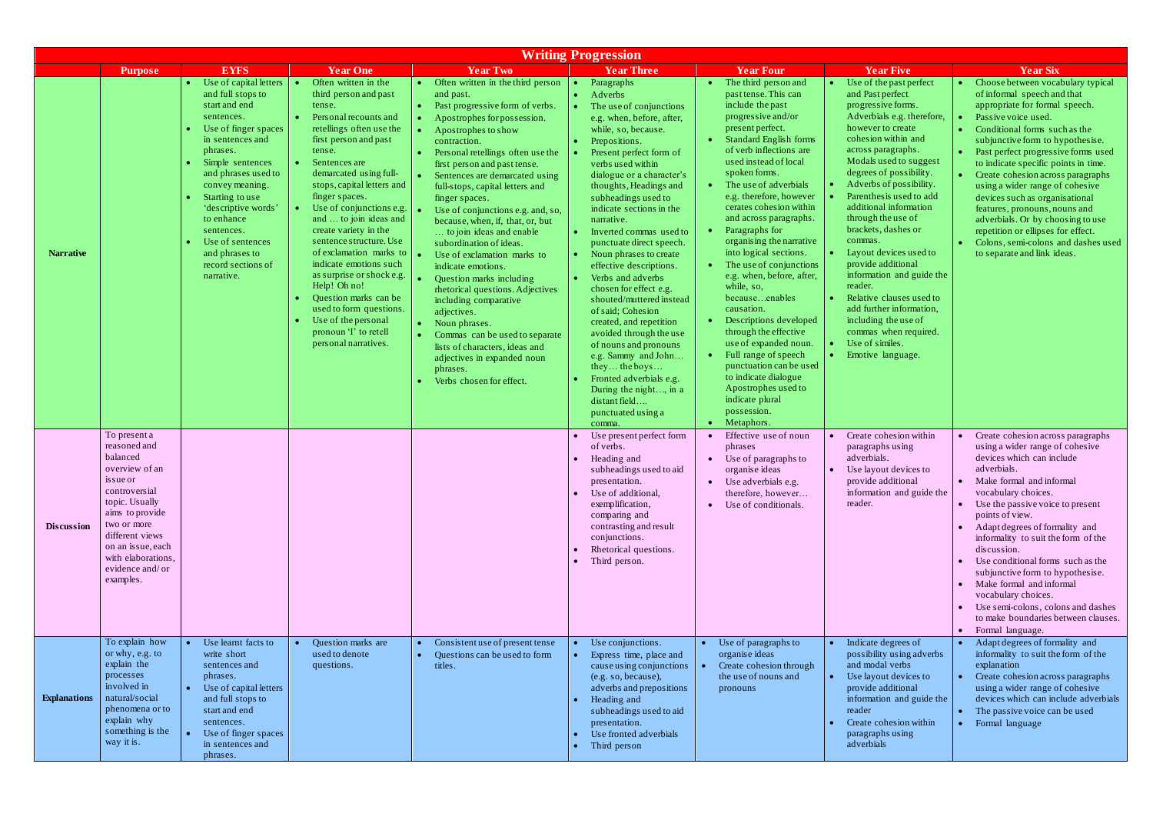| <b>Writing Progression</b> |                                                                                                                                                                                                                                            |                                                                                                                                                                                                                                                                                                                                                  |                                                                                                                                                                                                                                                                                                                                                                                                                                                                                                                                                                                    |                                                                                                                                                                                                                                                                                                                                                                                                                                                                                                                                                                                                                                                                                                                                                                                           |                                                                                                                                                                                                                                                                                                                                                                                                                                                                                                                                                                                                                                                                                                                                                     |                                                                                                                                                                                                                                                                                                                                                                                                                                                                                                                                                                                                                                                                                                                                                                                                           |                                                                                                                                                                                                                                                                                                                                                                                                                                                                                                                                                                                                                      |                                                                                                                                                                                                                                                                                                                                                                                                                                                                                                                                                                           |
|----------------------------|--------------------------------------------------------------------------------------------------------------------------------------------------------------------------------------------------------------------------------------------|--------------------------------------------------------------------------------------------------------------------------------------------------------------------------------------------------------------------------------------------------------------------------------------------------------------------------------------------------|------------------------------------------------------------------------------------------------------------------------------------------------------------------------------------------------------------------------------------------------------------------------------------------------------------------------------------------------------------------------------------------------------------------------------------------------------------------------------------------------------------------------------------------------------------------------------------|-------------------------------------------------------------------------------------------------------------------------------------------------------------------------------------------------------------------------------------------------------------------------------------------------------------------------------------------------------------------------------------------------------------------------------------------------------------------------------------------------------------------------------------------------------------------------------------------------------------------------------------------------------------------------------------------------------------------------------------------------------------------------------------------|-----------------------------------------------------------------------------------------------------------------------------------------------------------------------------------------------------------------------------------------------------------------------------------------------------------------------------------------------------------------------------------------------------------------------------------------------------------------------------------------------------------------------------------------------------------------------------------------------------------------------------------------------------------------------------------------------------------------------------------------------------|-----------------------------------------------------------------------------------------------------------------------------------------------------------------------------------------------------------------------------------------------------------------------------------------------------------------------------------------------------------------------------------------------------------------------------------------------------------------------------------------------------------------------------------------------------------------------------------------------------------------------------------------------------------------------------------------------------------------------------------------------------------------------------------------------------------|----------------------------------------------------------------------------------------------------------------------------------------------------------------------------------------------------------------------------------------------------------------------------------------------------------------------------------------------------------------------------------------------------------------------------------------------------------------------------------------------------------------------------------------------------------------------------------------------------------------------|---------------------------------------------------------------------------------------------------------------------------------------------------------------------------------------------------------------------------------------------------------------------------------------------------------------------------------------------------------------------------------------------------------------------------------------------------------------------------------------------------------------------------------------------------------------------------|
|                            | <b>Purpose</b>                                                                                                                                                                                                                             | <b>EYFS</b>                                                                                                                                                                                                                                                                                                                                      | <b>Year One</b>                                                                                                                                                                                                                                                                                                                                                                                                                                                                                                                                                                    | <b>Year Two</b>                                                                                                                                                                                                                                                                                                                                                                                                                                                                                                                                                                                                                                                                                                                                                                           | <b>Year Three</b>                                                                                                                                                                                                                                                                                                                                                                                                                                                                                                                                                                                                                                                                                                                                   | <b>Year Four</b>                                                                                                                                                                                                                                                                                                                                                                                                                                                                                                                                                                                                                                                                                                                                                                                          | <b>Year Five</b>                                                                                                                                                                                                                                                                                                                                                                                                                                                                                                                                                                                                     | <b>Year Six</b>                                                                                                                                                                                                                                                                                                                                                                                                                                                                                                                                                           |
| <b>Narrative</b>           |                                                                                                                                                                                                                                            | Use of capital letters<br>and full stops to<br>start and end<br>sentences.<br>Use of finger spaces<br>in sentences and<br>phrases.<br>Simple sentences<br>and phrases used to<br>convey meaning.<br>Starting to use<br>'descriptive words'<br>to enhance<br>sentences.<br>Use of sentences<br>and phrases to<br>record sections of<br>narrative. | Often written in the<br>third person and past<br>tense.<br>Personal recounts and<br>retellings often use the<br>first person and past<br>tense.<br>Sentences are<br>demarcated using full-<br>stops, capital letters and<br>finger spaces.<br>Use of conjunctions e.g.<br>and  to join ideas and<br>create variety in the<br>sentence structure. Use<br>of exclamation marks to<br>indicate emotions such<br>as surprise or shock e.g.<br>Help! Oh no!<br>Question marks can be<br>used to form questions.<br>Use of the personal<br>pronoun 'I' to retell<br>personal narratives. | Often written in the third person<br>and past.<br>Past progressive form of verbs.<br>Apostrophes for possession.<br>$\bullet$<br>Apostrophes to show<br>contraction.<br>Personal retellings often use the<br>first person and past tense.<br>Sentences are demarcated using<br>full-stops, capital letters and<br>finger spaces.<br>Use of conjunctions e.g. and, so,<br>because, when, if, that, or, but<br>to join ideas and enable<br>subordination of ideas.<br>Use of exclamation marks to<br>indicate emotions.<br>Question marks including<br>rhetorical questions. Adjectives<br>including comparative<br>adjectives.<br>Noun phrases.<br>Commas can be used to separate<br>lists of characters, ideas and<br>adjectives in expanded noun<br>phrases.<br>Verbs chosen for effect. | Paragraphs<br>Adverbs<br>$\bullet$<br>The use of conjunctions<br>e.g. when, before, after,<br>while, so, because.<br>Prepositions.<br>Present perfect form of<br>verbs used within<br>dialogue or a character's<br>thoughts, Headings and<br>subheadings used to<br>indicate sections in the<br>narrative.<br>Inverted commas used to<br>punctuate direct speech.<br>Noun phrases to create<br>effective descriptions.<br>Verbs and adverbs<br>chosen for effect e.g.<br>shouted/muttered instead<br>of said; Cohesion<br>created, and repetition<br>avoided through the use<br>of nouns and pronouns<br>e.g. Sammy and John<br>they the boys<br>Fronted adverbials e.g.<br>During the night, in a<br>distant field<br>punctuated using a<br>comma. | The third person and<br>$\bullet$<br>past tense. This can<br>include the past<br>progressive and/or<br>present perfect.<br>• Standard English forms<br>of verb inflections are<br>used instead of local<br>spoken forms.<br>• The use of adverbials<br>e.g. therefore, however<br>cerates cohesion within<br>and across paragraphs.<br>Paragraphs for<br>$\bullet$ .<br>organising the narrative<br>into logical sections.<br>The use of conjunctions<br>$\bullet$ .<br>e.g. when, before, after,<br>while, so,<br>becauseenables<br>causation.<br>Descriptions developed<br>$\bullet$<br>through the effective<br>use of expanded noun.<br>• Full range of speech<br>punctuation can be used<br>to indicate dialogue<br>Apostrophes used to<br>indicate plural<br>possession.<br>Metaphors.<br>$\bullet$ | Use of the past perfect<br>$\bullet$<br>and Past perfect<br>progressive forms.<br>Adverbials e.g. therefore,<br>however to create<br>cohesion within and<br>across paragraphs.<br>Modals used to suggest<br>degrees of possibility.<br>Adverbs of possibility.<br>Parenthesis used to add<br>additional information<br>through the use of<br>brackets, dashes or<br>commas.<br>Layout devices used to<br>provide additional<br>information and guide the<br>reader.<br>Relative clauses used to<br>add further information,<br>including the use of<br>commas when required.<br>Use of similes.<br>Emotive language. | Choose between vocabulary typical<br>of informal speech and that<br>appropriate for formal speech.<br>Passive voice used.<br>Conditional forms such as the<br>subjunctive form to hypothesise.<br>Past perfect progressive forms used<br>to indicate specific points in time.<br>Create cohesion across paragraphs<br>using a wider range of cohesive<br>devices such as organisational<br>features, pronouns, nouns and<br>adverbials. Or by choosing to use<br>repetition or ellipses for effect.<br>Colons, semi-colons and dashes used<br>to separate and link ideas. |
| <b>Discussion</b>          | To present a<br>reasoned and<br>balanced<br>overview of an<br>is sue or<br>controversial<br>topic. Usually<br>aims to provide<br>two or more<br>different views<br>on an issue, each<br>with elaborations,<br>evidence and/or<br>examples. |                                                                                                                                                                                                                                                                                                                                                  |                                                                                                                                                                                                                                                                                                                                                                                                                                                                                                                                                                                    |                                                                                                                                                                                                                                                                                                                                                                                                                                                                                                                                                                                                                                                                                                                                                                                           | Use present perfect form<br>of verbs.<br>Heading and<br>subheadings used to aid<br>presentation.<br>Use of additional,<br>exemplification,<br>comparing and<br>contrasting and result<br>conjunctions.<br>Rhetorical questions.<br>Third person.                                                                                                                                                                                                                                                                                                                                                                                                                                                                                                    | Effective use of noun<br>phrases<br>Use of paragraphs to<br>organise ideas<br>$\bullet$<br>Use adverbials e.g.<br>therefore, however<br>Use of conditionals.<br>$\bullet$                                                                                                                                                                                                                                                                                                                                                                                                                                                                                                                                                                                                                                 | Create cohesion within<br>paragraphs using<br>adverbials.<br>Use layout devices to<br>provide additional<br>information and guide the<br>reader.                                                                                                                                                                                                                                                                                                                                                                                                                                                                     | Create cohesion across paragraphs<br>using a wider range of cohesive<br>devices which can include<br>adverbials.<br>Make formal and informal<br>vocabulary choices.<br>Use the passive voice to present<br>points of view.<br>Adapt degrees of formality and<br>informality to suit the form of the<br>discussion.<br>Use conditional forms such as the<br>subjunctive form to hypothesise.<br>Make formal and informal<br>vocabulary choices.<br>Use semi-colons, colons and dashes<br>to make boundaries between clauses.<br>Formal language.<br>$\bullet$              |
| <b>Explanations</b>        | To explain how<br>or why, e.g. to<br>explain the<br>processes<br>involved in<br>natural/social<br>phenomena or to<br>explain why<br>something is the<br>way it is.                                                                         | Use learnt facts to<br>write short<br>sentences and<br>phrases.<br>Use of capital letters<br>and full stops to<br>start and end<br>sentences.<br>Use of finger spaces<br>in sentences and<br>phrases.                                                                                                                                            | Question marks are<br>used to denote<br>questions.                                                                                                                                                                                                                                                                                                                                                                                                                                                                                                                                 | Consistent use of present tense<br>Questions can be used to form<br>titles.                                                                                                                                                                                                                                                                                                                                                                                                                                                                                                                                                                                                                                                                                                               | Use conjunctions.<br>Express time, place and<br>cause using conjunctions<br>(e.g. so, because),<br>adverbs and prepositions<br>Heading and<br>subheadings used to aid<br>presentation.<br>Use fronted adverbials<br>Third person                                                                                                                                                                                                                                                                                                                                                                                                                                                                                                                    | Use of paragraphs to<br>organise ideas<br>Create cohesion through<br>the use of nouns and<br>pronouns                                                                                                                                                                                                                                                                                                                                                                                                                                                                                                                                                                                                                                                                                                     | Indicate degrees of<br>$\bullet$<br>possibility using adverbs<br>and modal verbs<br>$\bullet$<br>Use layout devices to<br>provide additional<br>information and guide the<br>reader<br>Create cohesion within<br>paragraphs using<br>adverbials                                                                                                                                                                                                                                                                                                                                                                      | Adapt degrees of formality and<br>informality to suit the form of the<br>explanation<br>Create cohesion across paragraphs<br>using a wider range of cohesive<br>devices which can include adverbials<br>The passive voice can be used<br>Formal language                                                                                                                                                                                                                                                                                                                  |